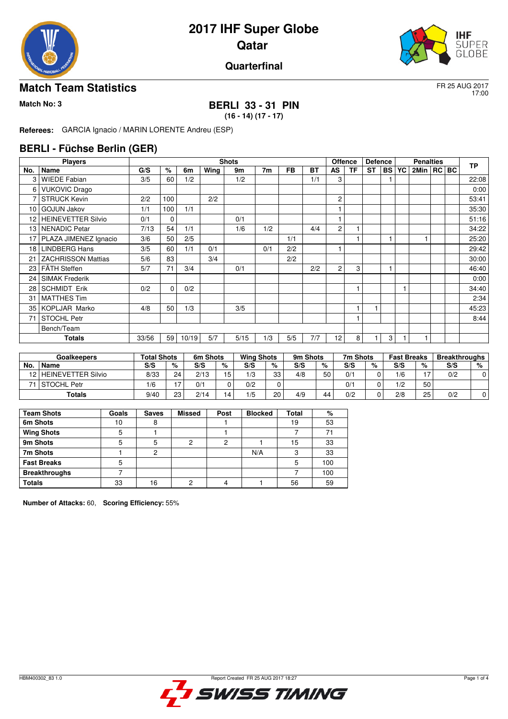



#### **Quarterfinal**

#### **Match Team Statistics** FR 25 AUG 2017

17:00

# **Match No: 3 BERLI 33 - 31 PIN**

**(16 - 14) (17 - 17)**

**Referees:** GARCIA Ignacio / MARIN LORENTE Andreu (ESP)

#### **BERLI - Füchse Berlin (GER)**

|                 | <b>Players</b>            |       |             |       |      | <b>Shots</b> |                |           |           | <b>Offence</b>  |    | <b>Defence</b> |           |    | <b>Penalties</b> |  | <b>TP</b> |
|-----------------|---------------------------|-------|-------------|-------|------|--------------|----------------|-----------|-----------|-----------------|----|----------------|-----------|----|------------------|--|-----------|
| No.             | <b>Name</b>               | G/S   | %           | 6m    | Wing | 9m           | 7 <sub>m</sub> | <b>FB</b> | <b>BT</b> | AS              | TF | <b>ST</b>      | <b>BS</b> | YC | 2Min   RC   BC   |  |           |
| 3               | <b>WIEDE Fabian</b>       | 3/5   | 60          | 1/2   |      | 1/2          |                |           | 1/1       | 3               |    |                |           |    |                  |  | 22:08     |
| 6               | <b>VUKOVIC Drago</b>      |       |             |       |      |              |                |           |           |                 |    |                |           |    |                  |  | 0:00      |
| 7               | <b>STRUCK Kevin</b>       | 2/2   | 100         |       | 2/2  |              |                |           |           | 2               |    |                |           |    |                  |  | 53:41     |
| 10 <sup>1</sup> | <b>GOJUN Jakov</b>        | 1/1   | 100         | 1/1   |      |              |                |           |           |                 |    |                |           |    |                  |  | 35:30     |
| 12              | <b>HEINEVETTER Silvio</b> | 0/1   | 0           |       |      | 0/1          |                |           |           |                 |    |                |           |    |                  |  | 51:16     |
| 13 <sup>1</sup> | l NENADIC Petar           | 7/13  | 54          | 1/1   |      | 1/6          | 1/2            |           | 4/4       | $\overline{c}$  |    |                |           |    |                  |  | 34:22     |
| 17              | PLAZA JIMENEZ Ignacio     | 3/6   | 50          | 2/5   |      |              |                | 1/1       |           |                 |    |                |           |    |                  |  | 25:20     |
| 18 <sup>1</sup> | <b>LINDBERG Hans</b>      | 3/5   | 60          | 1/1   | 0/1  |              | 0/1            | 2/2       |           |                 |    |                |           |    |                  |  | 29:42     |
| 21              | <b>ZACHRISSON Mattias</b> | 5/6   | 83          |       | 3/4  |              |                | 2/2       |           |                 |    |                |           |    |                  |  | 30:00     |
|                 | 23   FÄTH Steffen         | 5/7   | 71          | 3/4   |      | 0/1          |                |           | 2/2       | $\overline{c}$  | 3  |                |           |    |                  |  | 46:40     |
| 24              | l SIMAK Frederik          |       |             |       |      |              |                |           |           |                 |    |                |           |    |                  |  | 0:00      |
| 28              | <b>SCHMIDT Erik</b>       | 0/2   | $\mathbf 0$ | 0/2   |      |              |                |           |           |                 |    |                |           |    |                  |  | 34:40     |
| 31              | <b>MATTHES Tim</b>        |       |             |       |      |              |                |           |           |                 |    |                |           |    |                  |  | 2:34      |
| 35 I            | KOPLJAR Marko             | 4/8   | 50          | 1/3   |      | 3/5          |                |           |           |                 |    |                |           |    |                  |  | 45:23     |
| 71              | <b>STOCHL Petr</b>        |       |             |       |      |              |                |           |           |                 |    |                |           |    |                  |  | 8:44      |
|                 | Bench/Team                |       |             |       |      |              |                |           |           |                 |    |                |           |    |                  |  |           |
|                 | Totals                    | 33/56 | 59          | 10/19 | 5/7  | 5/15         | 1/3            | 5/5       | 7/7       | 12 <sub>1</sub> | 8  |                | 3         |    |                  |  |           |

|     | <b>Goalkeepers</b>        | <b>Total Shots</b> |    | 6m Shots |    | <b>Wing Shots</b> |    | 9m Shots |    | 7m Shots |   | <b>Fast Breaks</b> |    | <b>Breakthroughs</b> |   |
|-----|---------------------------|--------------------|----|----------|----|-------------------|----|----------|----|----------|---|--------------------|----|----------------------|---|
| No. | Name                      | S/S                | %  | S/S      | %  | S/S               | %  | S/S      | %  | S/S      | % | S/S                | %  | S/S                  | % |
| 12. | <b>HEINEVETTER Silvio</b> | 8/33               | 24 | 2/13     | 15 | 1/3               | 33 | 4/8      | 50 | 0/1      |   | 1/6                |    | 0/2                  |   |
|     | <b>STOCHL Petr</b>        | 1/6                |    | 0/1      |    | 0/2               |    |          |    | 0/1      |   | 1/2                | 50 |                      |   |
|     | <b>Totals</b>             | 9/40               | 23 | 2/14     | 14 | 1/5               | 20 | 4/9      | 44 | 0/2      |   | 2/8                | 25 | 0/2                  |   |

| <b>Team Shots</b>    | Goals | <b>Saves</b> | <b>Missed</b> | Post | <b>Blocked</b> | <b>Total</b> | %   |
|----------------------|-------|--------------|---------------|------|----------------|--------------|-----|
| 6m Shots             | 10    | 8            |               |      |                | 19           | 53  |
| <b>Wing Shots</b>    | 5     |              |               |      |                |              | 71  |
| 9m Shots             | 5     | 5            | າ             | っ    |                | 15           | 33  |
| 7m Shots             |       | 2            |               |      | N/A            | ◠<br>د،      | 33  |
| <b>Fast Breaks</b>   | 5     |              |               |      |                | 5            | 100 |
| <b>Breakthroughs</b> |       |              |               |      |                |              | 100 |
| <b>Totals</b>        | 33    | 16           | າ             |      |                | 56           | 59  |

**Number of Attacks:** 60, **Scoring Efficiency:** 55%

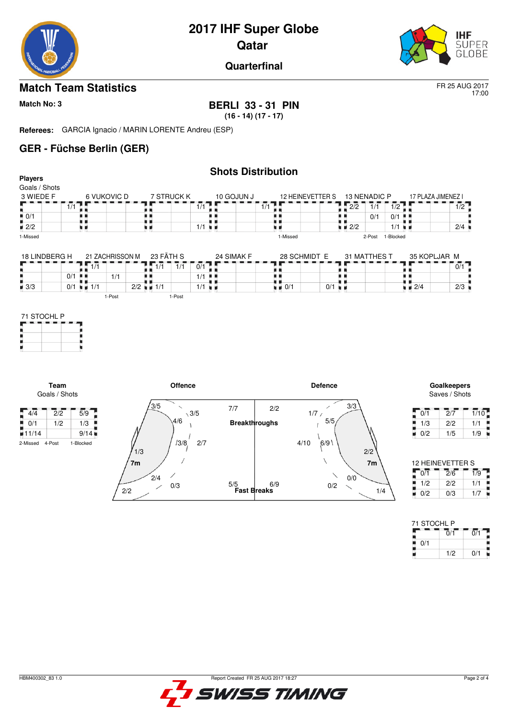

17:00

**Quarterfinal**

### **Match Team Statistics** FR 25 AUG 2017

#### **Match No: 3 BERLI 33 - 31 PIN**

**(16 - 14) (17 - 17)**

**Referees:** GARCIA Ignacio / MARIN LORENTE Andreu (ESP)

### **GER - Füchse Berlin (GER)**

|                                             |                  |                 |                          |                                                 | <b>Shots Distribution</b> |                                          |                      |                    |                |                      |                                   |                                                 |
|---------------------------------------------|------------------|-----------------|--------------------------|-------------------------------------------------|---------------------------|------------------------------------------|----------------------|--------------------|----------------|----------------------|-----------------------------------|-------------------------------------------------|
| <b>Players</b><br>Goals / Shots             |                  |                 |                          |                                                 |                           |                                          |                      |                    |                |                      |                                   |                                                 |
| 3 WIEDE F                                   |                  | 6 VUKOVIC D     | 7 STRUCK K               |                                                 | 10 GOJUN J                |                                          | 12 HEINEVETTER S     |                    | 13 NENADIC P   |                      | 17 PLAZA JIMENEZ I                |                                                 |
|                                             | $\overline{1/1}$ |                 |                          | 1/1                                             |                           | 1/1                                      |                      | $\overline{2/2}$   | 1/1            | 1/2                  |                                   | 1/2                                             |
| $\frac{1}{2}$ 0/1                           | . .              |                 | . .                      |                                                 | . .                       | . .                                      |                      |                    | 0/1            | $0/1$ $\blacksquare$ |                                   |                                                 |
| $\blacksquare$ 2/2                          | u a              |                 | . .                      | $1/1$ $\blacksquare$                            |                           | uи                                       |                      | $\blacksquare$ 2/2 |                | $1/1$ $\blacksquare$ |                                   | 2/4                                             |
| 1-Missed                                    |                  |                 |                          |                                                 |                           | 1-Missed                                 |                      |                    |                | 2-Post 1-Blocked     |                                   |                                                 |
| 18 LINDBERG H                               |                  | 21 ZACHRISSON M | 23 FÄTH S                |                                                 | 24 SIMAK F                | 28 SCHMIDT E                             |                      |                    | 31 MATTHES T   |                      | 35 KOPLJAR M                      |                                                 |
|                                             | ш<br>1/1         |                 | $\overline{1/1}$         | $\overline{0/1}$<br>$\overline{1}/\overline{1}$ |                           |                                          |                      |                    |                |                      |                                   | $\overline{0/1}$                                |
| ٠                                           | $0/1$            | 1/1             |                          | $1/1$                                           |                           | 8 H                                      |                      | . .                |                |                      | . .                               |                                                 |
| $\blacksquare$ 3/3                          | $0/1$ = 1/1      |                 | $2/2$ $\blacksquare$ 1/1 | $1/1$ $\blacksquare$                            |                           | . .<br>$\blacksquare$ $\blacksquare$ 0/1 | $0/1$ $\blacksquare$ |                    |                |                      | $\blacksquare$ $\blacksquare$ 2/4 | $2/3$                                           |
| Team                                        |                  |                 |                          | Offence                                         |                           |                                          | <b>Defence</b>       |                    |                |                      |                                   | <b>Goalkeepers</b>                              |
| Goals / Shots                               |                  |                 | $\frac{3}{5}$            |                                                 |                           |                                          |                      | 3/3                |                |                      |                                   | Saves / Shots                                   |
| $\sqrt{4/4}$<br>$\overline{2}/\overline{2}$ | $\overline{5/9}$ |                 |                          | $\sqrt{3/5}$                                    | 7/7                       | 2/2                                      | ╱<br>1/7/            |                    |                |                      | 0/1                               | 1/10<br>$\overline{2}/\overline{7}$             |
| $\frac{1}{2}$ 0/1<br>1/2                    | 1/3              |                 |                          | 4/6                                             | <b>Breakthroughs</b>      |                                          | 5/5                  |                    |                |                      | 1/3                               | 2/2<br>1/1                                      |
| 11/14                                       | 9/14             |                 |                          |                                                 |                           |                                          |                      |                    |                |                      | 0/2<br>u.                         | 1/5<br>1/9                                      |
| 4-Post<br>2-Missed                          | 1-Blocked        |                 | 1/3                      | 13/8,<br>2/7                                    |                           | 4/10                                     | 6/9                  |                    | 2/2            |                      |                                   |                                                 |
|                                             |                  |                 | 7m                       |                                                 |                           |                                          |                      |                    | 7 <sub>m</sub> |                      |                                   | <b>12 HEINEVETTER S</b>                         |
|                                             |                  |                 | 2/4                      |                                                 |                           |                                          | $\diagdown$          | 0/0                |                |                      | 0/1                               | $\overline{2}/\overline{6}$<br>$\overline{1/9}$ |
|                                             |                  |                 | 0/3                      |                                                 | 5/5                       | 6/9                                      | $0/2$                |                    |                |                      | 1/2                               | 2/2<br>1/1                                      |
|                                             |                  |                 | 2/2                      |                                                 | <b>Fast Breaks</b>        |                                          |                      |                    | 1/4            |                      | 0/2<br>۰                          | 1/7<br>0/3                                      |

| 71 STOCHL P |     |     |
|-------------|-----|-----|
|             | 0/1 | 0/1 |
| 0/1         |     |     |
|             | 1/2 | 0/1 |

i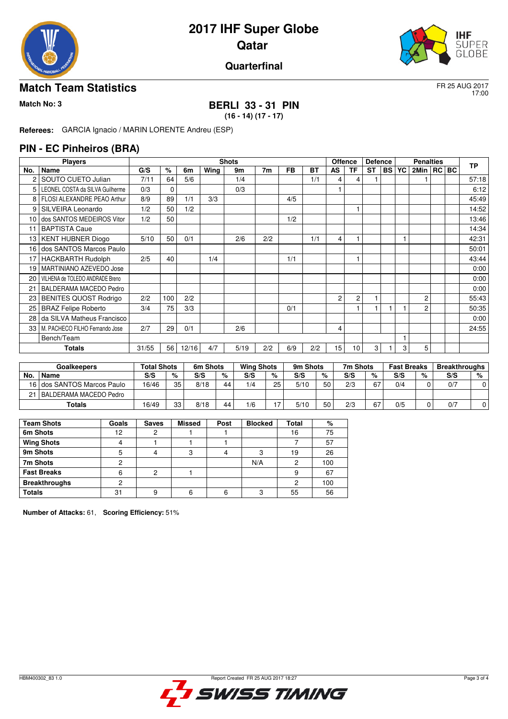



#### **Quarterfinal**

#### **Match Team Statistics** FR 25 AUG 2017

17:00

## **Match No: 3 BERLI 33 - 31 PIN**

**(16 - 14) (17 - 17)**

**Referees:** GARCIA Ignacio / MARIN LORENTE Andreu (ESP)

#### **PIN - EC Pinheiros (BRA)**

|                 | <b>Players</b>                  |       |          |       |      | <b>Shots</b> |                |           |           |                | <b>Offence</b> | <b>Defence</b> |           |    | <b>Penalties</b> |         | <b>TP</b> |
|-----------------|---------------------------------|-------|----------|-------|------|--------------|----------------|-----------|-----------|----------------|----------------|----------------|-----------|----|------------------|---------|-----------|
| No.             | Name                            | G/S   | %        | 6m    | Wing | 9m           | 7 <sub>m</sub> | <b>FB</b> | <b>BT</b> | AS             | ΤF             | <b>ST</b>      | <b>BS</b> | YC | 2Min             | RC   BC |           |
|                 | SOUTO CUETO Julian              | 7/11  | 64       | 5/6   |      | 1/4          |                |           | 1/1       | 4              | 4              |                |           |    |                  |         | 57:18     |
| 5               | LEONEL COSTA da SILVA Guilherme | 0/3   | $\Omega$ |       |      | 0/3          |                |           |           |                |                |                |           |    |                  |         | 6:12      |
| 8               | FLOSI ALEXANDRE PEAO Arthur     | 8/9   | 89       | 1/1   | 3/3  |              |                | 4/5       |           |                |                |                |           |    |                  |         | 45:49     |
| 9               | SILVEIRA Leonardo               | 1/2   | 50       | 1/2   |      |              |                |           |           |                |                |                |           |    |                  |         | 14:52     |
| 10 <sup>1</sup> | dos SANTOS MEDEIROS Vitor       | 1/2   | 50       |       |      |              |                | 1/2       |           |                |                |                |           |    |                  |         | 13:46     |
| 11              | <b>BAPTISTA Caue</b>            |       |          |       |      |              |                |           |           |                |                |                |           |    |                  |         | 14:34     |
|                 | 13   KENT HUBNER Diogo          | 5/10  | 50       | 0/1   |      | 2/6          | 2/2            |           | 1/1       | 4              |                |                |           |    |                  |         | 42:31     |
| 16              | dos SANTOS Marcos Paulo         |       |          |       |      |              |                |           |           |                |                |                |           |    |                  |         | 50:01     |
| 17              | <b>HACKBARTH Rudolph</b>        | 2/5   | 40       |       | 1/4  |              |                | 1/1       |           |                | 1              |                |           |    |                  |         | 43:44     |
| 19              | MARTINIANO AZEVEDO Jose         |       |          |       |      |              |                |           |           |                |                |                |           |    |                  |         | 0:00      |
| 20              | VILHENA de TOLEDO ANDRADE Breno |       |          |       |      |              |                |           |           |                |                |                |           |    |                  |         | 0:00      |
| 21              | BALDERAMA MACEDO Pedro          |       |          |       |      |              |                |           |           |                |                |                |           |    |                  |         | 0:00      |
| 23              | <b>BENITES QUOST Rodrigo</b>    | 2/2   | 100      | 2/2   |      |              |                |           |           | $\overline{c}$ | $\overline{c}$ |                |           |    | $\overline{2}$   |         | 55:43     |
| 25              | <b>BRAZ Felipe Roberto</b>      | 3/4   | 75       | 3/3   |      |              |                | 0/1       |           |                |                |                |           |    | 2                |         | 50:35     |
| 28              | da SILVA Matheus Francisco      |       |          |       |      |              |                |           |           |                |                |                |           |    |                  |         | 0:00      |
| 33 l            | M. PACHECO FILHO Fernando Jose  | 2/7   | 29       | 0/1   |      | 2/6          |                |           |           | 4              |                |                |           |    |                  |         | 24:55     |
|                 | Bench/Team                      |       |          |       |      |              |                |           |           |                |                |                |           |    |                  |         |           |
|                 | <b>Totals</b>                   | 31/55 | 56       | 12/16 | 4/7  | 5/19         | 2/2            | 6/9       | 2/2       | 15             | 10             | 3              |           | 3  | 5                |         |           |

| Goalkeepers |                            | <b>Total Shots</b> |    | 6m Shots |    | <b>Wing Shots</b> |    | 9m Shots |    | 7m Shots |    | <b>Fast Breaks</b> |   | <b>Breakthroughs</b> |   |
|-------------|----------------------------|--------------------|----|----------|----|-------------------|----|----------|----|----------|----|--------------------|---|----------------------|---|
| No.         | <b>Name</b>                | S/S                | %  | S/S      | %  | S/S               | %  | S/S      | %  | S/S      | %  | S/S                | % | S/S                  | % |
|             | 16 dos SANTOS Marcos Paulo | 16/46              | 35 | 8/18     | 44 | 1/4               | 25 | 5/10     | 50 | 2/3      | 67 | 0/4                |   | 0/7                  |   |
| 21          | I BALDERAMA MACEDO Pedro   |                    |    |          |    |                   |    |          |    |          |    |                    |   |                      |   |
|             | Totals                     | 16/49              | 33 | 8/18     | 44 | 1/6               |    | 5/10     | 50 | 2/3      | 67 | 0/5                |   | 0/7                  |   |

| <b>Team Shots</b>    | Goals | <b>Saves</b> | <b>Missed</b> | Post | <b>Blocked</b> | Total | %   |
|----------------------|-------|--------------|---------------|------|----------------|-------|-----|
| 6m Shots             | 12    |              |               |      |                | 16    | 75  |
| <b>Wing Shots</b>    |       |              |               |      |                |       | 57  |
| 9m Shots             |       |              |               | 4    | 3              | 19    | 26  |
| 7m Shots             |       |              |               |      | N/A            | 2     | 100 |
| <b>Fast Breaks</b>   | 6     | ◠            |               |      |                | 9     | 67  |
| <b>Breakthroughs</b> |       |              |               |      |                | 2     | 100 |
| <b>Totals</b>        | 31    | a            | 6             | 6    | з              | 55    | 56  |

**Number of Attacks:** 61, **Scoring Efficiency:** 51%